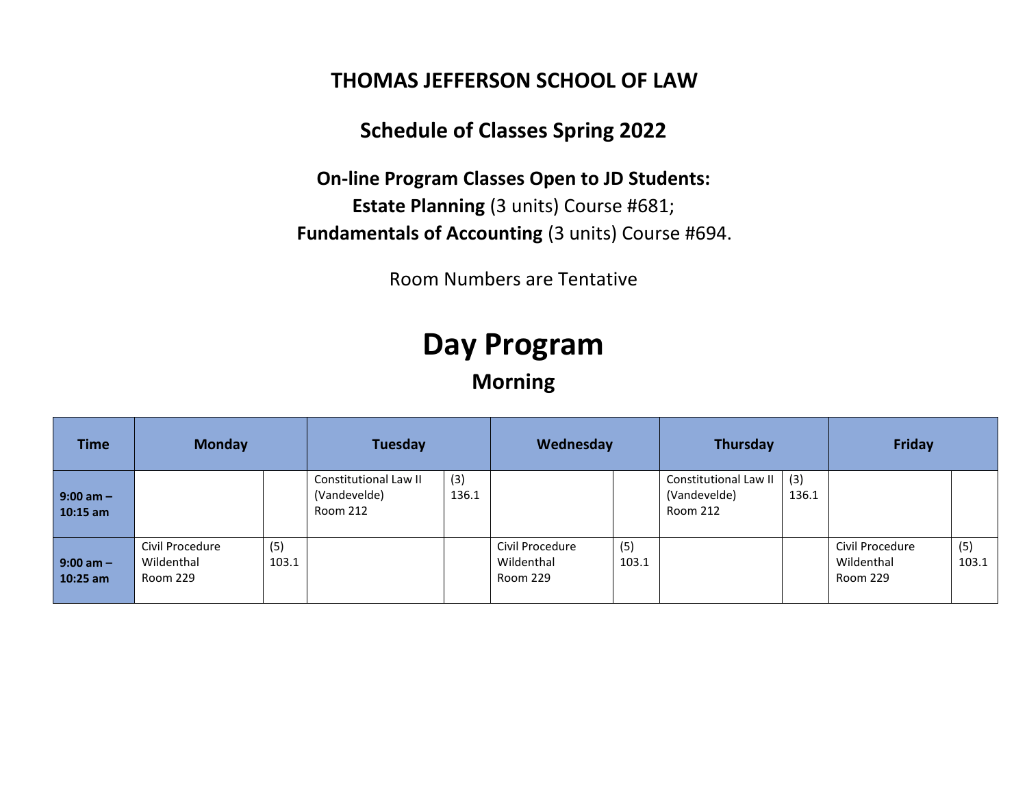#### **THOMAS JEFFERSON SCHOOL OF LAW**

### **Schedule of Classes Spring 2022**

**On-line Program Classes Open to JD Students: Estate Planning** (3 units) Course #681; **Fundamentals of Accounting** (3 units) Course #694.

Room Numbers are Tentative

# **Day Program**

**Morning**

| <b>Time</b>                 | <b>Monday</b>                             |              | Tuesday                                           |              | Wednesday                                 |              | Thursday                                          |              | <b>Friday</b>                             |              |
|-----------------------------|-------------------------------------------|--------------|---------------------------------------------------|--------------|-------------------------------------------|--------------|---------------------------------------------------|--------------|-------------------------------------------|--------------|
| $9:00$ am $-$<br>$10:15$ am |                                           |              | Constitutional Law II<br>(Vandevelde)<br>Room 212 | (3)<br>136.1 |                                           |              | Constitutional Law II<br>(Vandevelde)<br>Room 212 | (3)<br>136.1 |                                           |              |
| $9:00$ am $-$<br>$10:25$ am | Civil Procedure<br>Wildenthal<br>Room 229 | (5)<br>103.1 |                                                   |              | Civil Procedure<br>Wildenthal<br>Room 229 | (5)<br>103.1 |                                                   |              | Civil Procedure<br>Wildenthal<br>Room 229 | (5)<br>103.1 |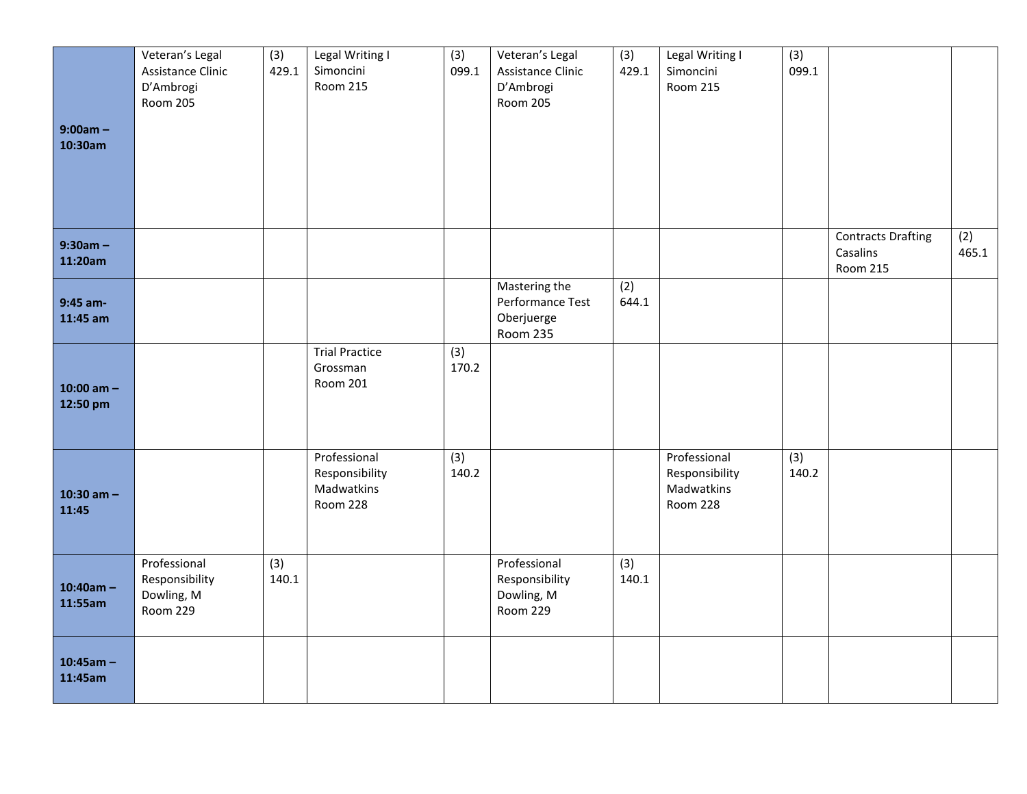| $9:00am -$<br>10:30am    | Veteran's Legal<br>Assistance Clinic<br>D'Ambrogi<br><b>Room 205</b> | (3)<br>429.1 | Legal Writing I<br>Simoncini<br><b>Room 215</b>          | (3)<br>099.1             | Veteran's Legal<br>Assistance Clinic<br>D'Ambrogi<br><b>Room 205</b> | (3)<br>429.1 | Legal Writing I<br>Simoncini<br><b>Room 215</b>          | (3)<br>099.1 |                                                          |              |
|--------------------------|----------------------------------------------------------------------|--------------|----------------------------------------------------------|--------------------------|----------------------------------------------------------------------|--------------|----------------------------------------------------------|--------------|----------------------------------------------------------|--------------|
| $9:30am -$<br>11:20am    |                                                                      |              |                                                          |                          |                                                                      |              |                                                          |              | <b>Contracts Drafting</b><br>Casalins<br><b>Room 215</b> | (2)<br>465.1 |
| 9:45 am-<br>11:45 am     |                                                                      |              |                                                          |                          | Mastering the<br>Performance Test<br>Oberjuerge<br><b>Room 235</b>   | (2)<br>644.1 |                                                          |              |                                                          |              |
| 10:00 am $-$<br>12:50 pm |                                                                      |              | <b>Trial Practice</b><br>Grossman<br>Room 201            | $\overline{3)}$<br>170.2 |                                                                      |              |                                                          |              |                                                          |              |
| 10:30 am $-$<br>11:45    |                                                                      |              | Professional<br>Responsibility<br>Madwatkins<br>Room 228 | (3)<br>140.2             |                                                                      |              | Professional<br>Responsibility<br>Madwatkins<br>Room 228 | (3)<br>140.2 |                                                          |              |
| $10:40am -$<br>11:55am   | Professional<br>Responsibility<br>Dowling, M<br><b>Room 229</b>      | (3)<br>140.1 |                                                          |                          | Professional<br>Responsibility<br>Dowling, M<br>Room 229             | (3)<br>140.1 |                                                          |              |                                                          |              |
| $10:45am -$<br>11:45am   |                                                                      |              |                                                          |                          |                                                                      |              |                                                          |              |                                                          |              |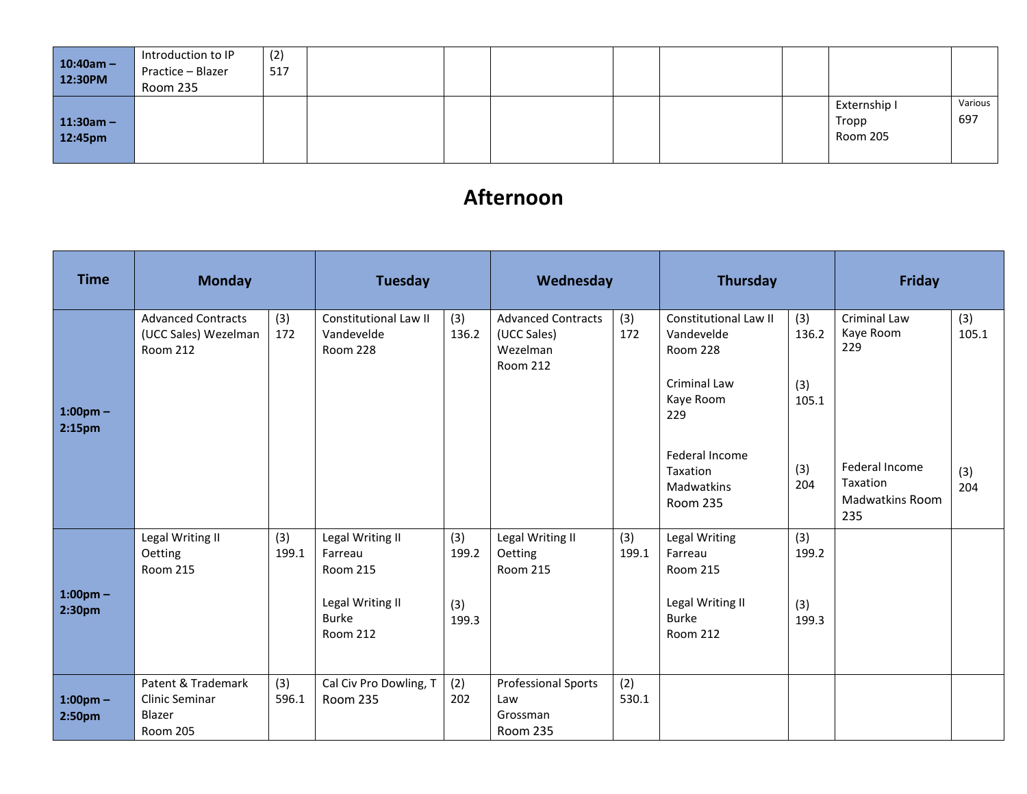| $10:40am -$<br>12:30PM | Introduction to IP<br>Practice - Blazer<br>Room 235 | (2)<br>517 |  |  |  |                                   |                |
|------------------------|-----------------------------------------------------|------------|--|--|--|-----------------------------------|----------------|
| $11:30am -$<br>12:45pm |                                                     |            |  |  |  | Externship I<br>Tropp<br>Room 205 | Various<br>697 |

### **Afternoon**

| <b>Time</b>                         | <b>Monday</b>                                                     |              | <b>Tuesday</b>                                                                                        |                              | Wednesday                                                               |              | <b>Thursday</b>                                                                                    |                              | <b>Friday</b>                                               |              |
|-------------------------------------|-------------------------------------------------------------------|--------------|-------------------------------------------------------------------------------------------------------|------------------------------|-------------------------------------------------------------------------|--------------|----------------------------------------------------------------------------------------------------|------------------------------|-------------------------------------------------------------|--------------|
| $1:00$ pm $-$<br>2:15 <sub>pm</sub> | <b>Advanced Contracts</b><br>(UCC Sales) Wezelman<br>Room 212     | (3)<br>172   | Constitutional Law II<br>Vandevelde<br><b>Room 228</b>                                                | (3)<br>136.2                 | <b>Advanced Contracts</b><br>(UCC Sales)<br>Wezelman<br><b>Room 212</b> | (3)<br>172   | <b>Constitutional Law II</b><br>Vandevelde<br>Room 228<br>Criminal Law<br>Kaye Room<br>229         | (3)<br>136.2<br>(3)<br>105.1 | Criminal Law<br>Kaye Room<br>229                            | (3)<br>105.1 |
|                                     |                                                                   |              |                                                                                                       |                              |                                                                         |              | Federal Income<br>Taxation<br>Madwatkins<br><b>Room 235</b>                                        | (3)<br>204                   | Federal Income<br>Taxation<br><b>Madwatkins Room</b><br>235 | (3)<br>204   |
| $1:00$ pm $-$<br>2:30 <sub>pm</sub> | Legal Writing II<br>Oetting<br>Room 215                           | (3)<br>199.1 | Legal Writing II<br>Farreau<br><b>Room 215</b><br>Legal Writing II<br><b>Burke</b><br><b>Room 212</b> | (3)<br>199.2<br>(3)<br>199.3 | Legal Writing II<br>Oetting<br><b>Room 215</b>                          | (3)<br>199.1 | Legal Writing<br>Farreau<br><b>Room 215</b><br>Legal Writing II<br><b>Burke</b><br><b>Room 212</b> | (3)<br>199.2<br>(3)<br>199.3 |                                                             |              |
| $1:00$ pm $-$<br>2:50pm             | Patent & Trademark<br>Clinic Seminar<br>Blazer<br><b>Room 205</b> | (3)<br>596.1 | Cal Civ Pro Dowling, T<br>Room 235                                                                    | (2)<br>202                   | <b>Professional Sports</b><br>Law<br>Grossman<br>Room 235               | (2)<br>530.1 |                                                                                                    |                              |                                                             |              |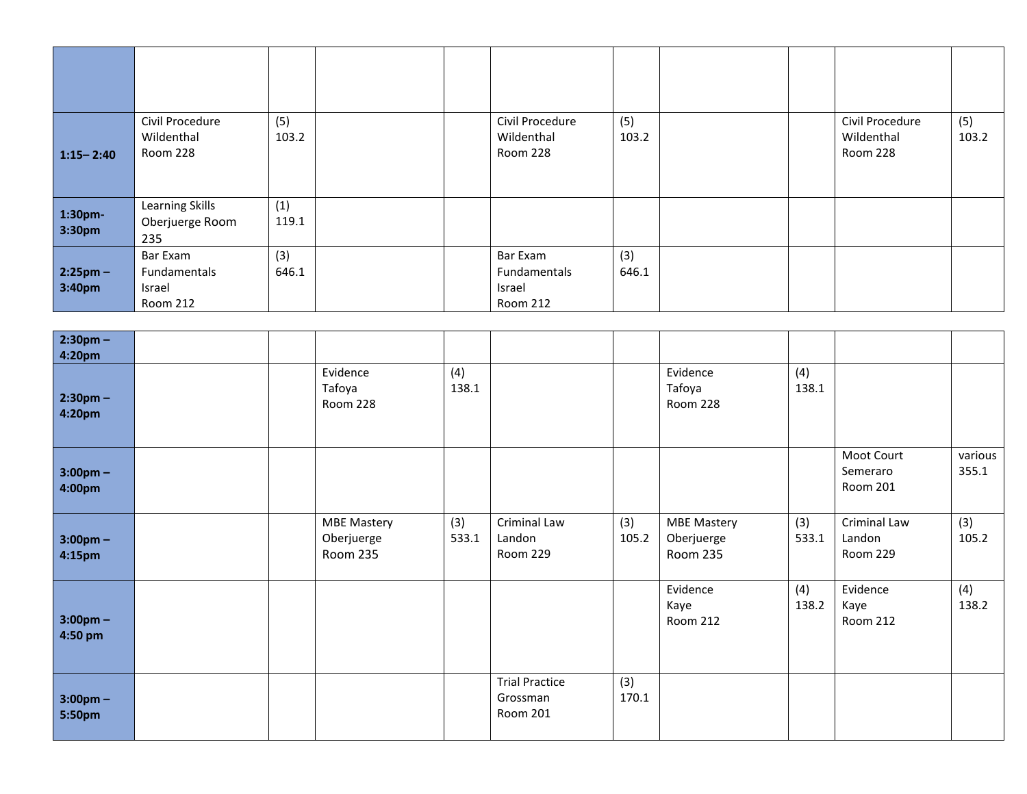| $1:15 - 2:40$        | Civil Procedure<br>Wildenthal<br>Room 228      | (5)<br>103.2 |  | Civil Procedure<br>Wildenthal<br>Room 228      | (5)<br>103.2 |  | Civil Procedure<br>Wildenthal<br>Room 228 | (5)<br>103.2 |
|----------------------|------------------------------------------------|--------------|--|------------------------------------------------|--------------|--|-------------------------------------------|--------------|
| 1:30pm-<br>3:30pm    | Learning Skills<br>Oberjuerge Room<br>235      | (1)<br>119.1 |  |                                                |              |  |                                           |              |
| $2:25pm -$<br>3:40pm | Bar Exam<br>Fundamentals<br>Israel<br>Room 212 | (3)<br>646.1 |  | Bar Exam<br>Fundamentals<br>Israel<br>Room 212 | (3)<br>646.1 |  |                                           |              |

| $2:30pm -$<br>4:20pm          |                                                     |              |                                               |              |                                                     |              |                                    |                  |
|-------------------------------|-----------------------------------------------------|--------------|-----------------------------------------------|--------------|-----------------------------------------------------|--------------|------------------------------------|------------------|
| $2:30pm -$<br>4:20pm          | Evidence<br>Tafoya<br>Room 228                      | (4)<br>138.1 |                                               |              | Evidence<br>Tafoya<br>Room 228                      | (4)<br>138.1 |                                    |                  |
| $3:00 \text{pm} -$<br>4:00pm  |                                                     |              |                                               |              |                                                     |              | Moot Court<br>Semeraro<br>Room 201 | various<br>355.1 |
| $3:00 \text{pm} -$<br>4:15pm  | <b>MBE Mastery</b><br>Oberjuerge<br><b>Room 235</b> | (3)<br>533.1 | Criminal Law<br>Landon<br>Room 229            | (3)<br>105.2 | <b>MBE Mastery</b><br>Oberjuerge<br><b>Room 235</b> | (3)<br>533.1 | Criminal Law<br>Landon<br>Room 229 | (3)<br>105.2     |
| $3:00 \text{pm} -$<br>4:50 pm |                                                     |              |                                               |              | Evidence<br>Kaye<br><b>Room 212</b>                 | (4)<br>138.2 | Evidence<br>Kaye<br>Room 212       | (4)<br>138.2     |
| $3:00 \text{pm} -$<br>5:50pm  |                                                     |              | <b>Trial Practice</b><br>Grossman<br>Room 201 | (3)<br>170.1 |                                                     |              |                                    |                  |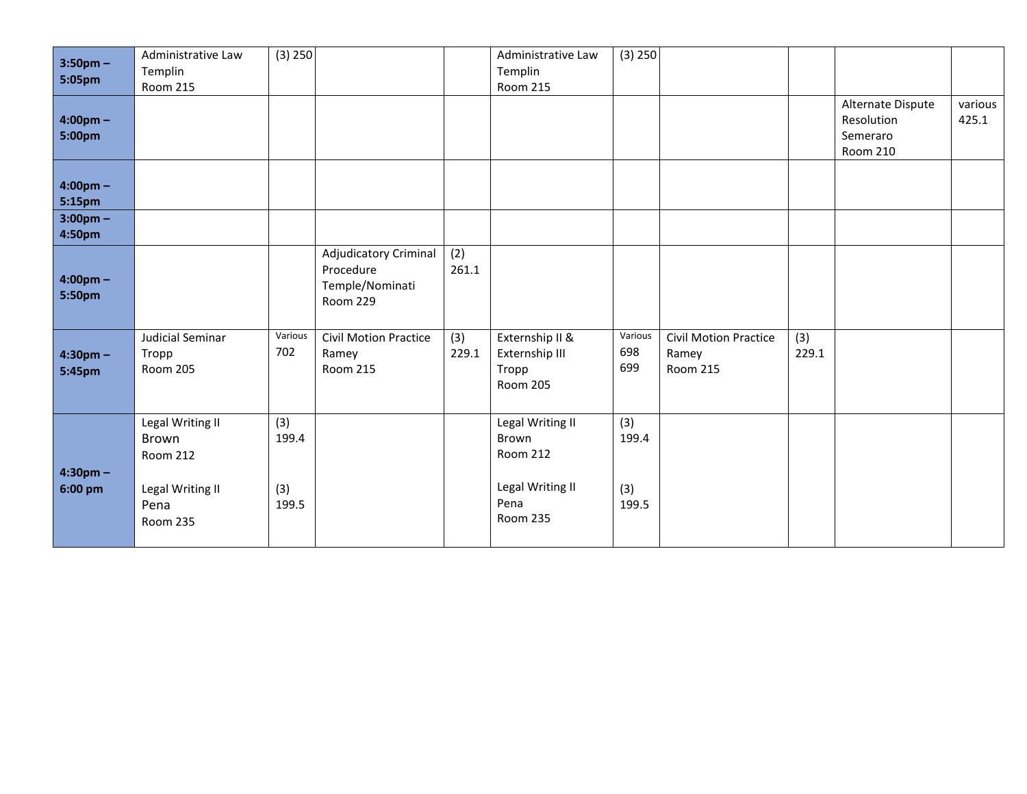| $3:50$ pm $-$<br>5:05pm      | Administrative Law<br>Templin<br><b>Room 215</b>                                     | (3) 250                      |                                                                                 |              | Administrative Law<br>Templin<br><b>Room 215</b>                                     | (3) 250                      |                                                   |              |                                                                |                  |
|------------------------------|--------------------------------------------------------------------------------------|------------------------------|---------------------------------------------------------------------------------|--------------|--------------------------------------------------------------------------------------|------------------------------|---------------------------------------------------|--------------|----------------------------------------------------------------|------------------|
| $4:00 \text{pm} -$<br>5:00pm |                                                                                      |                              |                                                                                 |              |                                                                                      |                              |                                                   |              | Alternate Dispute<br>Resolution<br>Semeraro<br><b>Room 210</b> | various<br>425.1 |
| $4:00 \text{pm} -$<br>5:15pm |                                                                                      |                              |                                                                                 |              |                                                                                      |                              |                                                   |              |                                                                |                  |
| $3:00 \text{pm} -$<br>4:50pm |                                                                                      |                              |                                                                                 |              |                                                                                      |                              |                                                   |              |                                                                |                  |
| $4:00 \text{pm} -$<br>5:50pm |                                                                                      |                              | <b>Adjudicatory Criminal</b><br>Procedure<br>Temple/Nominati<br><b>Room 229</b> | (2)<br>261.1 |                                                                                      |                              |                                                   |              |                                                                |                  |
| $4:30pm -$<br>5:45pm         | Judicial Seminar<br>Tropp<br><b>Room 205</b>                                         | Various<br>702               | <b>Civil Motion Practice</b><br>Ramey<br><b>Room 215</b>                        | (3)<br>229.1 | Externship II &<br>Externship III<br>Tropp<br><b>Room 205</b>                        | Various<br>698<br>699        | <b>Civil Motion Practice</b><br>Ramey<br>Room 215 | (3)<br>229.1 |                                                                |                  |
| $4:30$ pm $-$<br>6:00 pm     | Legal Writing II<br>Brown<br>Room 212<br>Legal Writing II<br>Pena<br><b>Room 235</b> | (3)<br>199.4<br>(3)<br>199.5 |                                                                                 |              | Legal Writing II<br>Brown<br>Room 212<br>Legal Writing II<br>Pena<br><b>Room 235</b> | (3)<br>199.4<br>(3)<br>199.5 |                                                   |              |                                                                |                  |